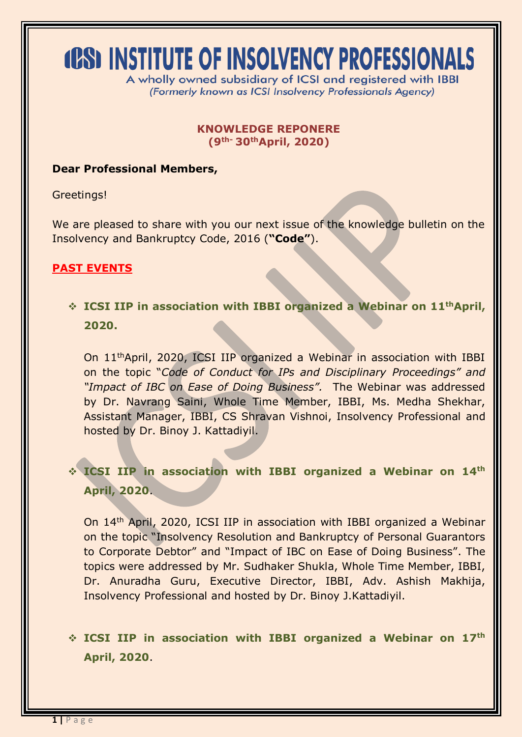# **(OS) INSTITUTE OF INSOLVENCY PROFESSIONALS**

A wholly owned subsidiary of ICSI and registered with IBBI (Formerly known as ICSI Insolvency Professionals Agency)

#### **KNOWLEDGE REPONERE (9th- 30thApril, 2020)**

### **Dear Professional Members,**

Greetings!

We are pleased to share with you our next issue of the knowledge bulletin on the Insolvency and Bankruptcy Code, 2016 (**"Code"**).

# **PAST EVENTS**

 **ICSI IIP in association with IBBI organized a Webinar on 11thApril, 2020.**

On 11thApril, 2020, ICSI IIP organized a Webinar in association with IBBI on the topic "*Code of Conduct for IPs and Disciplinary Proceedings" and "Impact of IBC on Ease of Doing Business".* The Webinar was addressed by Dr. Navrang Saini, Whole Time Member, IBBI, Ms. Medha Shekhar, Assistant Manager, IBBI, CS Shravan Vishnoi, Insolvency Professional and hosted by Dr. Binoy J. Kattadiyil.

# **ICSI IIP in association with IBBI organized a Webinar on 14th April, 2020**.

On 14th April, 2020, ICSI IIP in association with IBBI organized a Webinar on the topic "Insolvency Resolution and Bankruptcy of Personal Guarantors to Corporate Debtor" and "Impact of IBC on Ease of Doing Business". The topics were addressed by Mr. Sudhaker Shukla, Whole Time Member, IBBI, Dr. Anuradha Guru, Executive Director, IBBI, Adv. Ashish Makhija, Insolvency Professional and hosted by Dr. Binoy J.Kattadiyil.

 **ICSI IIP in association with IBBI organized a Webinar on 17th April, 2020**.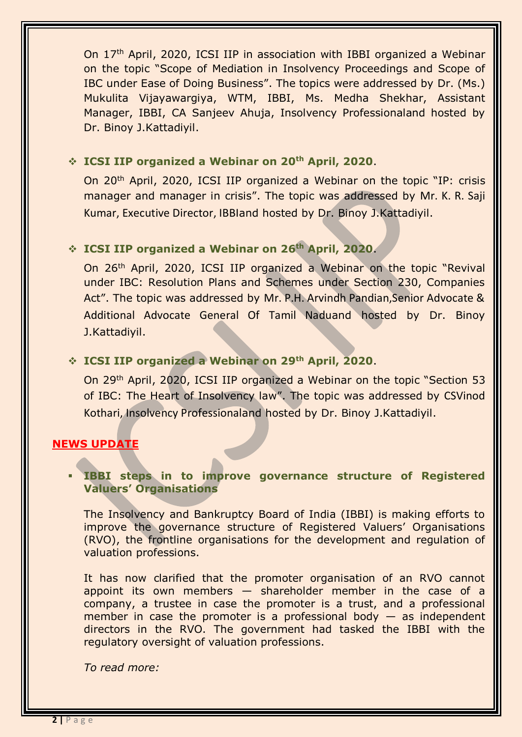On 17th April, 2020, ICSI IIP in association with IBBI organized a Webinar on the topic "Scope of Mediation in Insolvency Proceedings and Scope of IBC under Ease of Doing Business". The topics were addressed by Dr. (Ms.) Mukulita Vijayawargiya, WTM, IBBI, Ms. Medha Shekhar, Assistant Manager, IBBI, CA Sanjeev Ahuja, Insolvency Professionaland hosted by Dr. Binoy J.Kattadiyil.

#### **ICSI IIP organized a Webinar on 20th April, 2020**.

On 20th April, 2020, ICSI IIP organized a Webinar on the topic "IP: crisis manager and manager in crisis". The topic was addressed by Mr. K. R. Saji Kumar, Executive Director, IBBIand hosted by Dr. Binoy J.Kattadiyil.

#### **ICSI IIP organized a Webinar on 26th April, 2020**.

On 26th April, 2020, ICSI IIP organized a Webinar on the topic "Revival under IBC: Resolution Plans and Schemes under Section 230, Companies Act". The topic was addressed by Mr. P.H. Arvindh Pandian,Senior Advocate & Additional Advocate General Of Tamil Naduand hosted by Dr. Binoy J.Kattadiyil.

## **ICSI IIP organized a Webinar on 29th April, 2020**.

On 29th April, 2020, ICSI IIP organized a Webinar on the topic "Section 53 of IBC: The Heart of Insolvency law". The topic was addressed by CSVinod Kothari, Insolvency Professionaland hosted by Dr. Binoy J.Kattadiyil.

#### **NEWS UPDATE**

#### **IBBI steps in to improve governance structure of Registered Valuers' Organisations**

The Insolvency and Bankruptcy Board of India (IBBI) is making efforts to improve the governance structure of Registered Valuers' Organisations (RVO), the frontline organisations for the development and regulation of valuation professions.

It has now clarified that the promoter organisation of an RVO cannot appoint its own members  $-$  shareholder member in the case of a company, a trustee in case the promoter is a trust, and a professional member in case the promoter is a professional body  $-$  as independent directors in the RVO. The government had tasked the IBBI with the regulatory oversight of valuation professions.

*To read more:*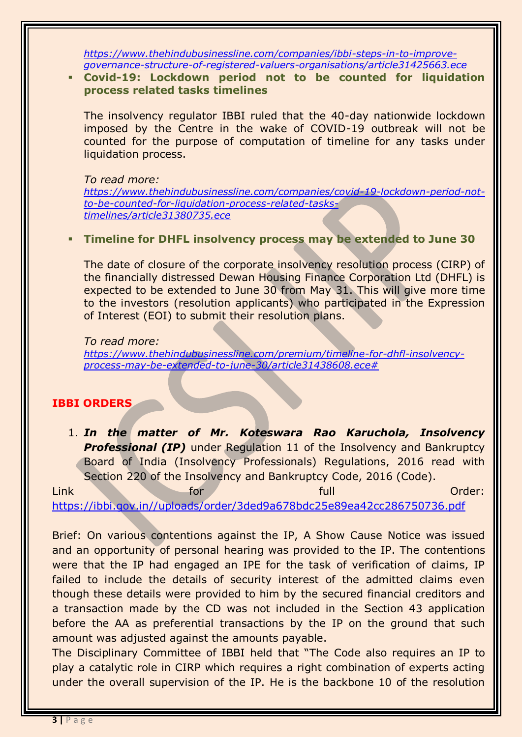*[https://www.thehindubusinessline.com/companies/ibbi-steps-in-to-improve](https://www.thehindubusinessline.com/companies/ibbi-steps-in-to-improve-governance-structure-of-registered-valuers-organisations/article31425663.ece)[governance-structure-of-registered-valuers-organisations/article31425663.ece](https://www.thehindubusinessline.com/companies/ibbi-steps-in-to-improve-governance-structure-of-registered-valuers-organisations/article31425663.ece)*

#### **Covid-19: Lockdown period not to be counted for liquidation process related tasks timelines**

The insolvency regulator IBBI ruled that the 40-day nationwide lockdown imposed by the Centre in the wake of COVID-19 outbreak will not be counted for the purpose of computation of timeline for any tasks under liquidation process.

*To read more: [https://www.thehindubusinessline.com/companies/covid-19-lockdown-period-not](https://www.thehindubusinessline.com/companies/covid-19-lockdown-period-not-to-be-counted-for-liquidation-process-related-tasks-timelines/article31380735.ece)[to-be-counted-for-liquidation-process-related-tasks](https://www.thehindubusinessline.com/companies/covid-19-lockdown-period-not-to-be-counted-for-liquidation-process-related-tasks-timelines/article31380735.ece)[timelines/article31380735.ece](https://www.thehindubusinessline.com/companies/covid-19-lockdown-period-not-to-be-counted-for-liquidation-process-related-tasks-timelines/article31380735.ece)*

#### **Timeline for DHFL insolvency process may be extended to June 30**

The date of closure of the corporate insolvency resolution process (CIRP) of the financially distressed Dewan Housing Finance Corporation Ltd (DHFL) is expected to be extended to June 30 from May 31. This will give more time to the investors (resolution applicants) who participated in the Expression of Interest (EOI) to submit their resolution plans.

*To read more: [https://www.thehindubusinessline.com/premium/timeline-for-dhfl-insolvency](https://www.thehindubusinessline.com/premium/timeline-for-dhfl-insolvency-process-may-be-extended-to-june-30/article31438608.ece)[process-may-be-extended-to-june-30/article31438608.ece#](https://www.thehindubusinessline.com/premium/timeline-for-dhfl-insolvency-process-may-be-extended-to-june-30/article31438608.ece)*

## **IBBI ORDERS**

1. *In the matter of Mr. Koteswara Rao Karuchola, Insolvency*  **Professional (IP)** under Regulation 11 of the Insolvency and Bankruptcy Board of India (Insolvency Professionals) Regulations, 2016 read with Section 220 of the Insolvency and Bankruptcy Code, 2016 (Code).

Link for full Order: [https://ibbi.gov.in//uploads/order/3ded9a678bdc25e89ea42cc286750736.pdf](https://ibbi.gov.in/uploads/order/3ded9a678bdc25e89ea42cc286750736.pdf)

Brief: On various contentions against the IP, A Show Cause Notice was issued and an opportunity of personal hearing was provided to the IP. The contentions were that the IP had engaged an IPE for the task of verification of claims, IP failed to include the details of security interest of the admitted claims even though these details were provided to him by the secured financial creditors and a transaction made by the CD was not included in the Section 43 application before the AA as preferential transactions by the IP on the ground that such amount was adjusted against the amounts payable.

The Disciplinary Committee of IBBI held that "The Code also requires an IP to play a catalytic role in CIRP which requires a right combination of experts acting under the overall supervision of the IP. He is the backbone 10 of the resolution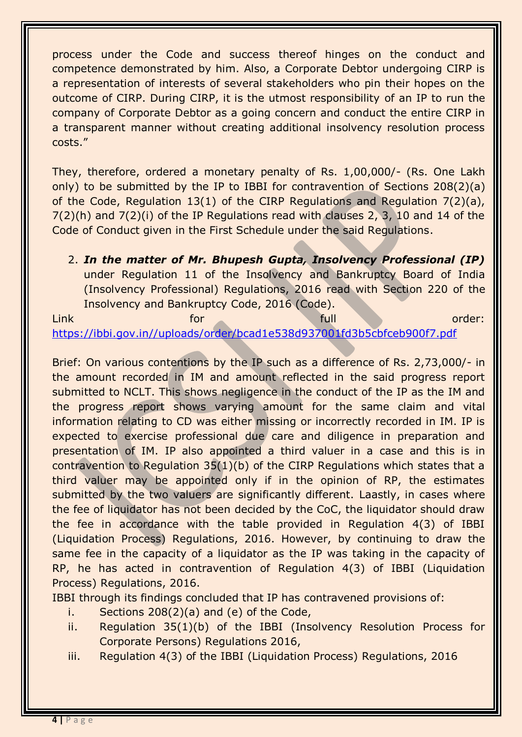process under the Code and success thereof hinges on the conduct and competence demonstrated by him. Also, a Corporate Debtor undergoing CIRP is a representation of interests of several stakeholders who pin their hopes on the outcome of CIRP. During CIRP, it is the utmost responsibility of an IP to run the company of Corporate Debtor as a going concern and conduct the entire CIRP in a transparent manner without creating additional insolvency resolution process costs."

They, therefore, ordered a monetary penalty of Rs. 1,00,000/- (Rs. One Lakh only) to be submitted by the IP to IBBI for contravention of Sections 208(2)(a) of the Code, Regulation 13(1) of the CIRP Regulations and Regulation 7(2)(a), 7(2)(h) and 7(2)(i) of the IP Regulations read with clauses 2, 3, 10 and 14 of the Code of Conduct given in the First Schedule under the said Regulations.

2. *In the matter of Mr. Bhupesh Gupta, Insolvency Professional (IP)* under Regulation 11 of the Insolvency and Bankruptcy Board of India (Insolvency Professional) Regulations, 2016 read with Section 220 of the Insolvency and Bankruptcy Code, 2016 (Code).

Link for full order:

[https://ibbi.gov.in//uploads/order/bcad1e538d937001fd3b5cbfceb900f7.pdf](https://ibbi.gov.in/uploads/order/bcad1e538d937001fd3b5cbfceb900f7.pdf)

Brief: On various contentions by the IP such as a difference of Rs. 2,73,000/- in the amount recorded in IM and amount reflected in the said progress report submitted to NCLT. This shows negligence in the conduct of the IP as the IM and the progress report shows varying amount for the same claim and vital information relating to CD was either missing or incorrectly recorded in IM. IP is expected to exercise professional due care and diligence in preparation and presentation of IM. IP also appointed a third valuer in a case and this is in contravention to Regulation 35(1)(b) of the CIRP Regulations which states that a third valuer may be appointed only if in the opinion of RP, the estimates submitted by the two valuers are significantly different. Laastly, in cases where the fee of liquidator has not been decided by the CoC, the liquidator should draw the fee in accordance with the table provided in Regulation 4(3) of IBBI (Liquidation Process) Regulations, 2016. However, by continuing to draw the same fee in the capacity of a liquidator as the IP was taking in the capacity of RP, he has acted in contravention of Regulation 4(3) of IBBI (Liquidation Process) Regulations, 2016.

IBBI through its findings concluded that IP has contravened provisions of:

- i. Sections 208(2)(a) and (e) of the Code,
- ii. Regulation 35(1)(b) of the IBBI (Insolvency Resolution Process for Corporate Persons) Regulations 2016,
- iii. Regulation 4(3) of the IBBI (Liquidation Process) Regulations, 2016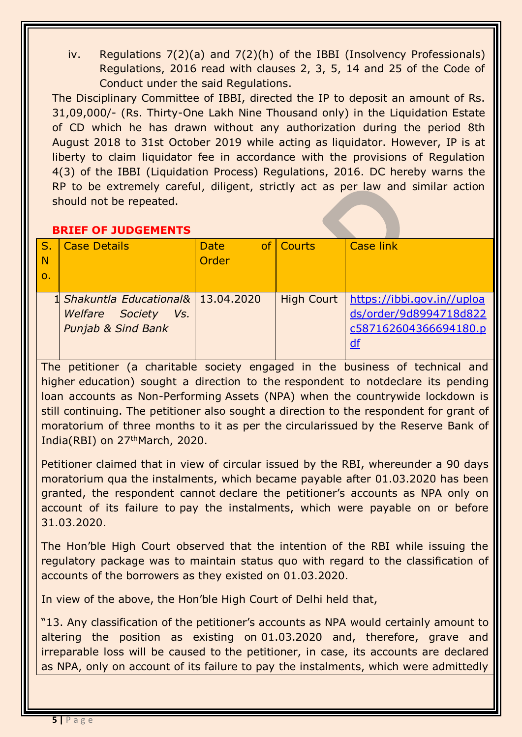iv. Regulations 7(2)(a) and 7(2)(h) of the IBBI (Insolvency Professionals) Regulations, 2016 read with clauses 2, 3, 5, 14 and 25 of the Code of Conduct under the said Regulations.

The Disciplinary Committee of IBBI, directed the IP to deposit an amount of Rs. 31,09,000/- (Rs. Thirty-One Lakh Nine Thousand only) in the Liquidation Estate of CD which he has drawn without any authorization during the period 8th August 2018 to 31st October 2019 while acting as liquidator. However, IP is at liberty to claim liquidator fee in accordance with the provisions of Regulation 4(3) of the IBBI (Liquidation Process) Regulations, 2016. DC hereby warns the RP to be extremely careful, diligent, strictly act as per law and similar action should not be repeated.

# **BRIEF OF JUDGEMENTS**

| N<br>$\Omega$ | <b>Case Details</b>                                                                                   | <b>Date</b><br>Order | of Courts         | <b>Case link</b>                                                                    |
|---------------|-------------------------------------------------------------------------------------------------------|----------------------|-------------------|-------------------------------------------------------------------------------------|
|               | 1 Shakuntla Educational& 13.04.2020<br><b>Welfare</b> Society<br>Vs.<br><b>Punjab &amp; Sind Bank</b> |                      | <b>High Court</b> | https://ibbi.gov.in//uploa<br>ds/order/9d8994718d822<br>c587162604366694180.p<br>df |

The petitioner (a charitable society engaged in the business of technical and higher education) sought a direction to the respondent to notdeclare its pending loan accounts as Non-Performing Assets (NPA) when the countrywide lockdown is still continuing. The petitioner also sought a direction to the respondent for grant of moratorium of three months to it as per the circularissued by the Reserve Bank of India(RBI) on 27<sup>th</sup>March, 2020.

Petitioner claimed that in view of circular issued by the RBI, whereunder a 90 days moratorium qua the instalments, which became payable after 01.03.2020 has been granted, the respondent cannot declare the petitioner's accounts as NPA only on account of its failure to pay the instalments, which were payable on or before 31.03.2020.

The Hon'ble High Court observed that the intention of the RBI while issuing the regulatory package was to maintain status quo with regard to the classification of accounts of the borrowers as they existed on 01.03.2020.

In view of the above, the Hon'ble High Court of Delhi held that,

"13. Any classification of the petitioner's accounts as NPA would certainly amount to altering the position as existing on 01.03.2020 and, therefore, grave and irreparable loss will be caused to the petitioner, in case, its accounts are declared as NPA, only on account of its failure to pay the instalments, which were admittedly